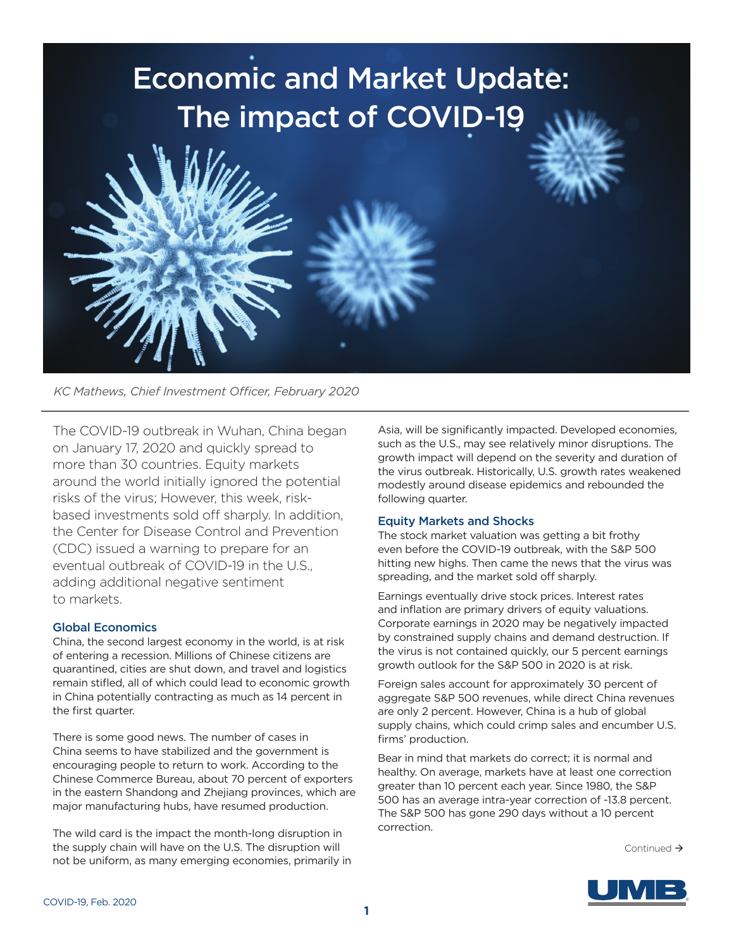

*KC Mathews, Chief Investment Officer, February 2020*

The COVID-19 outbreak in Wuhan, China began on January 17, 2020 and quickly spread to more than 30 countries. Equity markets around the world initially ignored the potential risks of the virus; However, this week, riskbased investments sold off sharply. In addition, the Center for Disease Control and Prevention (CDC) issued a warning to prepare for an eventual outbreak of COVID-19 in the U.S., adding additional negative sentiment to markets.

# Global Economics

China, the second largest economy in the world, is at risk of entering a recession. Millions of Chinese citizens are quarantined, cities are shut down, and travel and logistics remain stifled, all of which could lead to economic growth in China potentially contracting as much as 14 percent in the first quarter.

There is some good news. The number of cases in China seems to have stabilized and the government is encouraging people to return to work. According to the Chinese Commerce Bureau, about 70 percent of exporters in the eastern Shandong and Zhejiang provinces, which are major manufacturing hubs, have resumed production.

The wild card is the impact the month-long disruption in the supply chain will have on the U.S. The disruption will not be uniform, as many emerging economies, primarily in

Asia, will be significantly impacted. Developed economies, such as the U.S., may see relatively minor disruptions. The growth impact will depend on the severity and duration of the virus outbreak. Historically, U.S. growth rates weakened modestly around disease epidemics and rebounded the following quarter.

# Equity Markets and Shocks

The stock market valuation was getting a bit frothy even before the COVID-19 outbreak, with the S&P 500 hitting new highs. Then came the news that the virus was spreading, and the market sold off sharply.

Earnings eventually drive stock prices. Interest rates and inflation are primary drivers of equity valuations. Corporate earnings in 2020 may be negatively impacted by constrained supply chains and demand destruction. If the virus is not contained quickly, our 5 percent earnings growth outlook for the S&P 500 in 2020 is at risk.

Foreign sales account for approximately 30 percent of aggregate S&P 500 revenues, while direct China revenues are only 2 percent. However, China is a hub of global supply chains, which could crimp sales and encumber U.S. firms' production.

Bear in mind that markets do correct; it is normal and healthy. On average, markets have at least one correction greater than 10 percent each year. Since 1980, the S&P 500 has an average intra-year correction of -13.8 percent. The S&P 500 has gone 290 days without a 10 percent correction.

Continued  $\rightarrow$ 

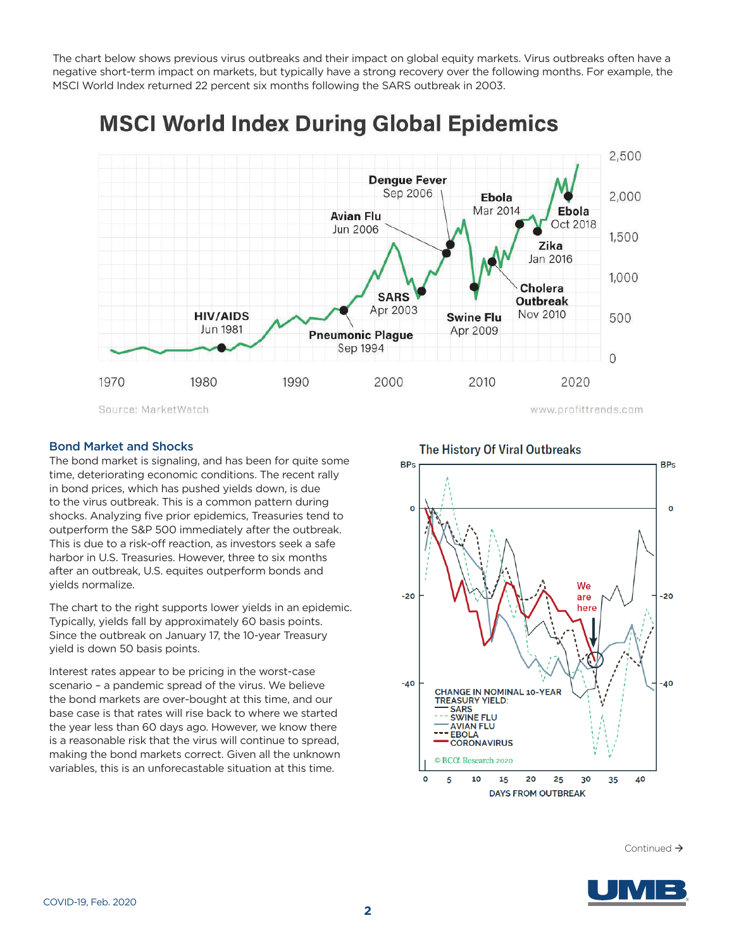The chart below shows previous virus outbreaks and their impact on global equity markets. Virus outbreaks often have a negative short-term impact on markets, but typically have a strong recovery over the following months. For example, the MSCI World Index returned 22 percent six months following the SARS outbreak in 2003.

#### 2,500 **Dengue Fever** Sep 2006 2,000 Ebola Mar 2014 Ebola **Avian Flu** Oct 2018 Jun 2006 1,500 Zika Jan 2016 1,000 Cholera **SARS Outbreak** Apr 2003 Nov 2010 **HIV/AIDS Swine Flu** 500 **Jun 1981** Apr 2009 **Pneumonic Plague** Sep 1994  $\overline{O}$ 1970 1980 1990 2000 2010 2020 Source: MarketWatch www.profittrends.com

# **MSCI World Index During Global Epidemics**

### Bond Market and Shocks

The bond market is signaling, and has been for quite some time, deteriorating economic conditions. The recent rally and, according condities on and the recent is<br>in bond prices, which has pushed yields down, is due to the virus outbreak. This is a common pattern during shocks. Analyzing five prior epidemics, Treasuries tend to **the bond market is signally experienced** outperform the S&P 500 immediately after the outbreak.  $\| \sqrt{\| \|\|} \sqrt{\| \|\|}$ This is due to a risk-off reaction, as investors seek a safe This is que to a risk-off reaction, as investors seek a safe  $\left|\left|\left|\left|\left|\left|\left|\left|\left|\right|\right|\right|\right|\right|\right|\right|\right|$ after an outbreak, U.S. equites outperform bonds and immediately after the outbreak. This is due to a risk-off reaction, as investors seek a safe harbor in U.S. yields normalize.

The chart to the right supports lower yields in an epidemic. Typically, yields fall by approximately 60 basis points. Since the outbreak on January 17, the 10-year Treasury  $\blacksquare$ yield is down 50 basis points. Since the outbreak on January 17, the 10-year Treasury in Treasury in  $\binom{1}{2}$ 

Interest rates appear to be pricing in the worst-case scenario – a pandemic spread of the virus. We believe the bond markets are over-bought at this time, and our base case is that rates will rise back to where we started the year less than 60 days ago. However, we know there is a reasonable risk that the virus will continue to spread, making the bond markets correct. Given all the unknown variables, this is an unforecastable situation at this time.

# The History Of Viral Outbreaks



 $\begin{aligned} & \text{Continued} \rightarrow \\ \end{aligned}$ Continued >